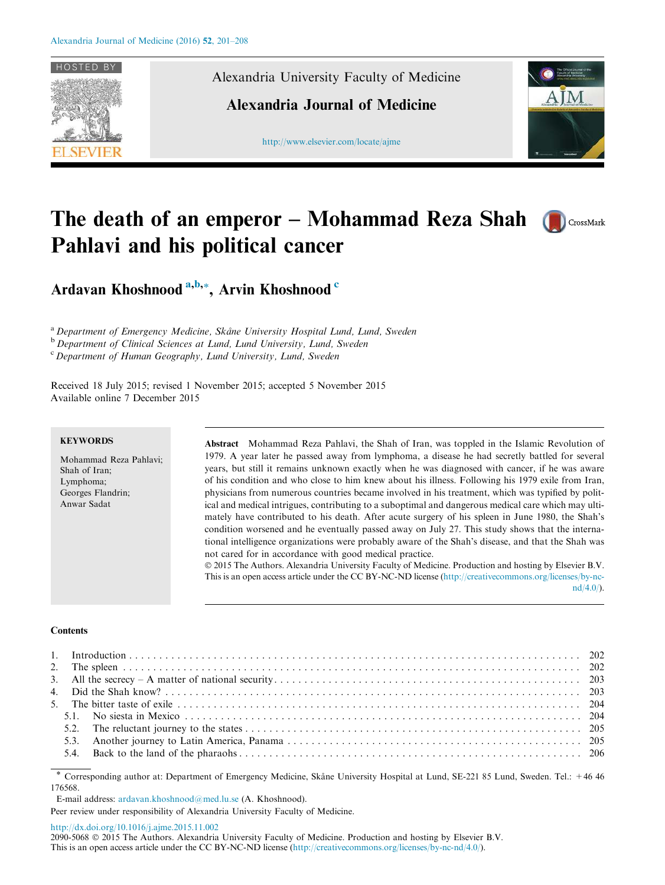

Alexandria University Faculty of Medicine

# Alexandria Journal of Medicine

[http://www.elsevier.com/locate/ajme](http://www.sciencedirect.com/science/journal/20905068)



# The death of an emperor – Mohammad Reza Shah Pahlavi and his political cancer

**CrossMark** 

Ardavan Khoshnood<sup>a,b,\*</sup>, Arvin Khoshnood<sup>c</sup>

<sup>a</sup>*Department of Emergency Medicine, Ska˚ne University Hospital Lund, Lund, Sweden*

<sup>b</sup> *Department of Clinical Sciences at Lund, Lund University, Lund, Sweden*

<sup>c</sup> *Department of Human Geography, Lund University, Lund, Sweden*

Received 18 July 2015; revised 1 November 2015; accepted 5 November 2015 Available online 7 December 2015

## **KEYWORDS**

Mohammad Reza Pahlavi; Shah of Iran; Lymphoma; Georges Flandrin; Anwar Sadat

Abstract Mohammad Reza Pahlavi, the Shah of Iran, was toppled in the Islamic Revolution of 1979. A year later he passed away from lymphoma, a disease he had secretly battled for several years, but still it remains unknown exactly when he was diagnosed with cancer, if he was aware of his condition and who close to him knew about his illness. Following his 1979 exile from Iran, physicians from numerous countries became involved in his treatment, which was typified by political and medical intrigues, contributing to a suboptimal and dangerous medical care which may ultimately have contributed to his death. After acute surgery of his spleen in June 1980, the Shah's condition worsened and he eventually passed away on July 27. This study shows that the international intelligence organizations were probably aware of the Shah's disease, and that the Shah was not cared for in accordance with good medical practice.

 2015 The Authors. Alexandria University Faculty of Medicine. Production and hosting by Elsevier B.V. This is an open access article under the CC BY-NC-ND license [\(http://creativecommons.org/licenses/by-nc](http://creativecommons.org/licenses/by-nc-nd/4.0/)nd/4.0 $\Lambda$ .

#### **Contents**

\* Corresponding author at: Department of Emergency Medicine, Skåne University Hospital at Lund, SE-221 85 Lund, Sweden. Tel.: +46 46 176568.

E-mail address: [ardavan.khoshnood@med.lu.se](mailto:ardavan.khoshnood@med.lu.se) (A. Khoshnood).

Peer review under responsibility of Alexandria University Faculty of Medicine.

<http://dx.doi.org/10.1016/j.ajme.2015.11.002>

2090-5068 2015 The Authors. Alexandria University Faculty of Medicine. Production and hosting by Elsevier B.V.

This is an open access article under the CC BY-NC-ND license [\(http://creativecommons.org/licenses/by-nc-nd/4.0/](http://creativecommons.org/licenses/by-nc-nd/4.0/)).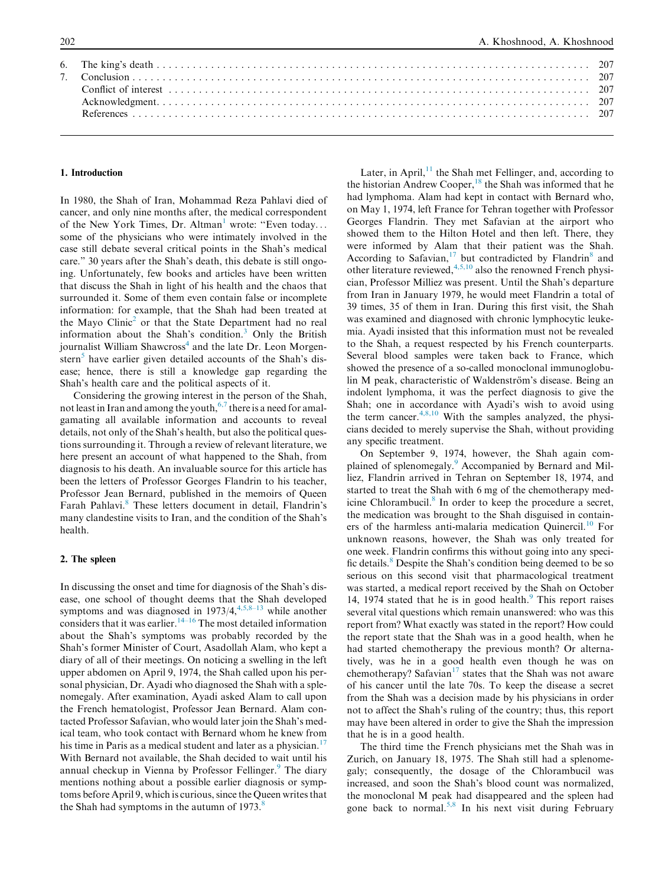# 1. Introduction

In 1980, the Shah of Iran, Mohammad Reza Pahlavi died of cancer, and only nine months after, the medical correspondent of the New York Times, Dr.  $\text{Altman}^1$  $\text{Altman}^1$  wrote: "Even today... some of the physicians who were intimately involved in the case still debate several critical points in the Shah's medical care." 30 years after the Shah's death, this debate is still ongoing. Unfortunately, few books and articles have been written that discuss the Shah in light of his health and the chaos that surrounded it. Some of them even contain false or incomplete information: for example, that the Shah had been treated at the Mayo Clinic<sup>[2](#page-6-0)</sup> or that the State Department had no real information about the Shah's condition.[3](#page-6-0) Only the British journalist William Shawcross<sup>[4](#page-6-0)</sup> and the late Dr. Leon Morgen-stern<sup>[5](#page-6-0)</sup> have earlier given detailed accounts of the Shah's disease; hence, there is still a knowledge gap regarding the Shah's health care and the political aspects of it.

Considering the growing interest in the person of the Shah, not least in Iran and among the youth,  $6.7$  there is a need for amalgamating all available information and accounts to reveal details, not only of the Shah's health, but also the political questions surrounding it. Through a review of relevant literature, we here present an account of what happened to the Shah, from diagnosis to his death. An invaluable source for this article has been the letters of Professor Georges Flandrin to his teacher, Professor Jean Bernard, published in the memoirs of Queen Farah Pahlavi.[8](#page-6-0) These letters document in detail, Flandrin's many clandestine visits to Iran, and the condition of the Shah's health.

# 2. The spleen

In discussing the onset and time for diagnosis of the Shah's disease, one school of thought deems that the Shah developed symptoms and was diagnosed in  $1973/4,$ <sup>[4,5,8–13](#page-6-0)</sup> while another considers that it was earlier.<sup>[14–16](#page-7-0)</sup> The most detailed information about the Shah's symptoms was probably recorded by the Shah's former Minister of Court, Asadollah Alam, who kept a diary of all of their meetings. On noticing a swelling in the left upper abdomen on April 9, 1974, the Shah called upon his personal physician, Dr. Ayadi who diagnosed the Shah with a splenomegaly. After examination, Ayadi asked Alam to call upon the French hematologist, Professor Jean Bernard. Alam contacted Professor Safavian, who would later join the Shah's medical team, who took contact with Bernard whom he knew from his time in Paris as a medical student and later as a physician.<sup>[17](#page-7-0)</sup> With Bernard not available, the Shah decided to wait until his annual checkup in Vienna by Professor Fellinger.<sup>[9](#page-6-0)</sup> The diary mentions nothing about a possible earlier diagnosis or symptoms before April 9, which is curious, since the Queen writes that the Shah had symptoms in the autumn of  $1973$ .<sup>[8](#page-6-0)</sup>

Later, in April, $<sup>11</sup>$  $<sup>11</sup>$  $<sup>11</sup>$  the Shah met Fellinger, and, according to</sup> the historian Andrew Cooper,<sup>[18](#page-7-0)</sup> the Shah was informed that he had lymphoma. Alam had kept in contact with Bernard who, on May 1, 1974, left France for Tehran together with Professor Georges Flandrin. They met Safavian at the airport who showed them to the Hilton Hotel and then left. There, they were informed by Alam that their patient was the Shah. According to Safavian,<sup>[17](#page-7-0)</sup> but contradicted by Flandrin<sup>[8](#page-6-0)</sup> and other literature reviewed,  $4,5,10$  also the renowned French physician, Professor Milliez was present. Until the Shah's departure from Iran in January 1979, he would meet Flandrin a total of 39 times, 35 of them in Iran. During this first visit, the Shah was examined and diagnosed with chronic lymphocytic leukemia. Ayadi insisted that this information must not be revealed to the Shah, a request respected by his French counterparts. Several blood samples were taken back to France, which showed the presence of a so-called monoclonal immunoglobulin M peak, characteristic of Waldenström's disease. Being an indolent lymphoma, it was the perfect diagnosis to give the Shah; one in accordance with Ayadi's wish to avoid using the term cancer.<sup>[4,8,10](#page-6-0)</sup> With the samples analyzed, the physicians decided to merely supervise the Shah, without providing any specific treatment.

On September 9, 1974, however, the Shah again complained of splenomegaly.[9](#page-6-0) Accompanied by Bernard and Milliez, Flandrin arrived in Tehran on September 18, 1974, and started to treat the Shah with 6 mg of the chemotherapy med-icine Chlorambucil.<sup>[8](#page-6-0)</sup> In order to keep the procedure a secret, the medication was brought to the Shah disguised in contain-ers of the harmless anti-malaria medication Quinercil.<sup>[10](#page-7-0)</sup> For unknown reasons, however, the Shah was only treated for one week. Flandrin confirms this without going into any specific details.[8](#page-6-0) Despite the Shah's condition being deemed to be so serious on this second visit that pharmacological treatment was started, a medical report received by the Shah on October 14, 1[9](#page-6-0)74 stated that he is in good health. $9$  This report raises several vital questions which remain unanswered: who was this report from? What exactly was stated in the report? How could the report state that the Shah was in a good health, when he had started chemotherapy the previous month? Or alternatively, was he in a good health even though he was on chemotherapy? Safavian<sup>[17](#page-7-0)</sup> states that the Shah was not aware of his cancer until the late 70s. To keep the disease a secret from the Shah was a decision made by his physicians in order not to affect the Shah's ruling of the country; thus, this report may have been altered in order to give the Shah the impression that he is in a good health.

The third time the French physicians met the Shah was in Zurich, on January 18, 1975. The Shah still had a splenomegaly; consequently, the dosage of the Chlorambucil was increased, and soon the Shah's blood count was normalized, the monoclonal M peak had disappeared and the spleen had gone back to normal.<sup>[5,8](#page-6-0)</sup> In his next visit during February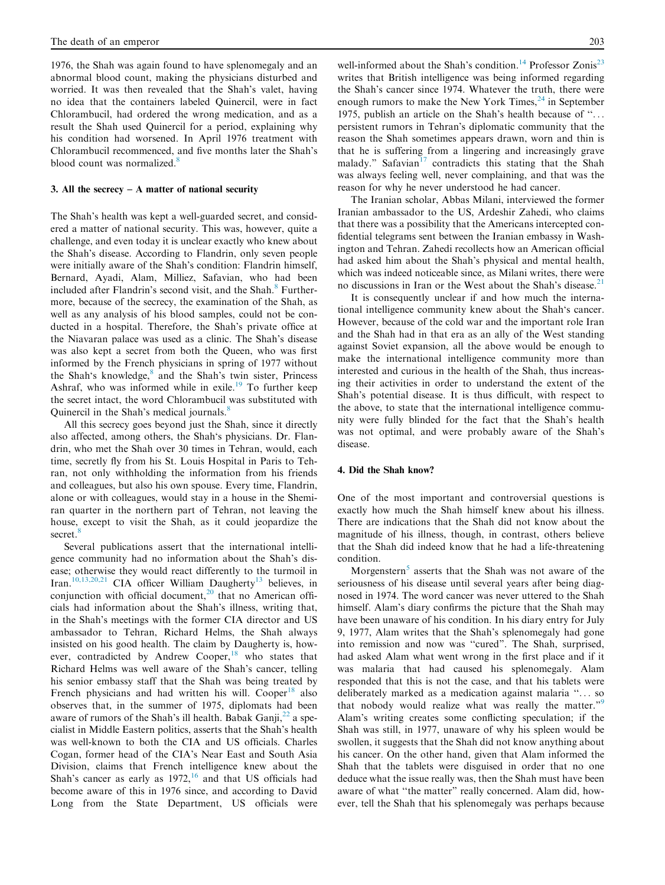1976, the Shah was again found to have splenomegaly and an abnormal blood count, making the physicians disturbed and worried. It was then revealed that the Shah's valet, having no idea that the containers labeled Quinercil, were in fact Chlorambucil, had ordered the wrong medication, and as a result the Shah used Quinercil for a period, explaining why his condition had worsened. In April 1976 treatment with Chlorambucil recommenced, and five months later the Shah's blood count was normalized.<sup>[8](#page-6-0)</sup>

# 3. All the secrecy – A matter of national security

The Shah's health was kept a well-guarded secret, and considered a matter of national security. This was, however, quite a challenge, and even today it is unclear exactly who knew about the Shah's disease. According to Flandrin, only seven people were initially aware of the Shah's condition: Flandrin himself, Bernard, Ayadi, Alam, Milliez, Safavian, who had been included after Flandrin's second visit, and the Shah.<sup>[8](#page-6-0)</sup> Furthermore, because of the secrecy, the examination of the Shah, as well as any analysis of his blood samples, could not be conducted in a hospital. Therefore, the Shah's private office at the Niavaran palace was used as a clinic. The Shah's disease was also kept a secret from both the Queen, who was first informed by the French physicians in spring of 1977 without the Shah's knowledge,<sup>[8](#page-6-0)</sup> and the Shah's twin sister, Princess Ashraf, who was informed while in exile.<sup>[19](#page-7-0)</sup> To further keep the secret intact, the word Chlorambucil was substituted with Quinercil in the Shah's medical journals.<sup>[8](#page-6-0)</sup>

All this secrecy goes beyond just the Shah, since it directly also affected, among others, the Shah's physicians. Dr. Flandrin, who met the Shah over 30 times in Tehran, would, each time, secretly fly from his St. Louis Hospital in Paris to Tehran, not only withholding the information from his friends and colleagues, but also his own spouse. Every time, Flandrin, alone or with colleagues, would stay in a house in the Shemiran quarter in the northern part of Tehran, not leaving the house, except to visit the Shah, as it could jeopardize the secret.<sup>[8](#page-6-0)</sup>

Several publications assert that the international intelligence community had no information about the Shah's disease; otherwise they would react differently to the turmoil in Iran.<sup>[10,13,20,21](#page-7-0)</sup> CIA officer William Daugherty<sup>[13](#page-7-0)</sup> believes, in conjunction with official document,<sup>[20](#page-7-0)</sup> that no American officials had information about the Shah's illness, writing that, in the Shah's meetings with the former CIA director and US ambassador to Tehran, Richard Helms, the Shah always insisted on his good health. The claim by Daugherty is, how-ever, contradicted by Andrew Cooper,<sup>[18](#page-7-0)</sup> who states that Richard Helms was well aware of the Shah's cancer, telling his senior embassy staff that the Shah was being treated by French physicians and had written his will. Cooper<sup>[18](#page-7-0)</sup> also observes that, in the summer of 1975, diplomats had been aware of rumors of the Shah's ill health. Babak Ganji, $^{22}$  $^{22}$  $^{22}$  a specialist in Middle Eastern politics, asserts that the Shah's health was well-known to both the CIA and US officials. Charles Cogan, former head of the CIA's Near East and South Asia Division, claims that French intelligence knew about the Shah's cancer as early as  $1972$ ,<sup>[16](#page-7-0)</sup> and that US officials had become aware of this in 1976 since, and according to David Long from the State Department, US officials were well-informed about the Shah's condition.<sup>[14](#page-7-0)</sup> Professor Zonis<sup>[23](#page-7-0)</sup> writes that British intelligence was being informed regarding the Shah's cancer since 1974. Whatever the truth, there were enough rumors to make the New York Times,  $^{24}$  $^{24}$  $^{24}$  in September 1975, publish an article on the Shah's health because of ''... persistent rumors in Tehran's diplomatic community that the reason the Shah sometimes appears drawn, worn and thin is that he is suffering from a lingering and increasingly grave malady." Safavian<sup>[17](#page-7-0)</sup> contradicts this stating that the Shah was always feeling well, never complaining, and that was the reason for why he never understood he had cancer.

The Iranian scholar, Abbas Milani, interviewed the former Iranian ambassador to the US, Ardeshir Zahedi, who claims that there was a possibility that the Americans intercepted confidential telegrams sent between the Iranian embassy in Washington and Tehran. Zahedi recollects how an American official had asked him about the Shah's physical and mental health, which was indeed noticeable since, as Milani writes, there were no discussions in Iran or the West about the Shah's disease.<sup>[21](#page-7-0)</sup>

It is consequently unclear if and how much the international intelligence community knew about the Shah's cancer. However, because of the cold war and the important role Iran and the Shah had in that era as an ally of the West standing against Soviet expansion, all the above would be enough to make the international intelligence community more than interested and curious in the health of the Shah, thus increasing their activities in order to understand the extent of the Shah's potential disease. It is thus difficult, with respect to the above, to state that the international intelligence community were fully blinded for the fact that the Shah's health was not optimal, and were probably aware of the Shah's disease.

# 4. Did the Shah know?

One of the most important and controversial questions is exactly how much the Shah himself knew about his illness. There are indications that the Shah did not know about the magnitude of his illness, though, in contrast, others believe that the Shah did indeed know that he had a life-threatening condition.

Morgenstern<sup>[5](#page-6-0)</sup> asserts that the Shah was not aware of the seriousness of his disease until several years after being diagnosed in 1974. The word cancer was never uttered to the Shah himself. Alam's diary confirms the picture that the Shah may have been unaware of his condition. In his diary entry for July 9, 1977, Alam writes that the Shah's splenomegaly had gone into remission and now was ''cured". The Shah, surprised, had asked Alam what went wrong in the first place and if it was malaria that had caused his splenomegaly. Alam responded that this is not the case, and that his tablets were deliberately marked as a medication against malaria ''... so that nobody would realize what was really the matter."<sup>[9](#page-6-0)</sup> Alam's writing creates some conflicting speculation; if the Shah was still, in 1977, unaware of why his spleen would be swollen, it suggests that the Shah did not know anything about his cancer. On the other hand, given that Alam informed the Shah that the tablets were disguised in order that no one deduce what the issue really was, then the Shah must have been aware of what ''the matter" really concerned. Alam did, however, tell the Shah that his splenomegaly was perhaps because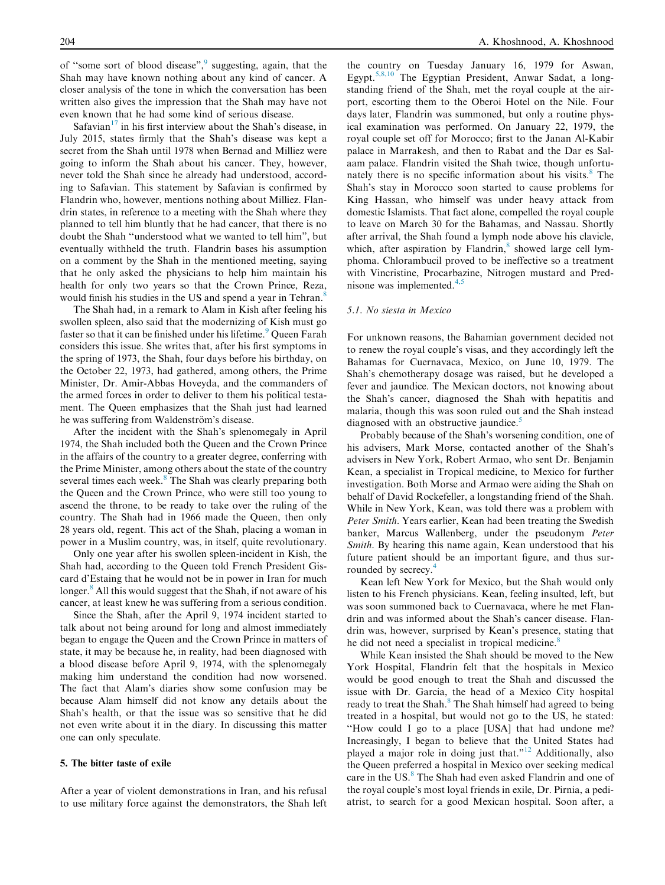of "some sort of blood disease",<sup>[9](#page-6-0)</sup> suggesting, again, that the Shah may have known nothing about any kind of cancer. A closer analysis of the tone in which the conversation has been written also gives the impression that the Shah may have not even known that he had some kind of serious disease.

Safavian $17$  in his first interview about the Shah's disease, in July 2015, states firmly that the Shah's disease was kept a secret from the Shah until 1978 when Bernad and Milliez were going to inform the Shah about his cancer. They, however, never told the Shah since he already had understood, according to Safavian. This statement by Safavian is confirmed by Flandrin who, however, mentions nothing about Milliez. Flandrin states, in reference to a meeting with the Shah where they planned to tell him bluntly that he had cancer, that there is no doubt the Shah ''understood what we wanted to tell him", but eventually withheld the truth. Flandrin bases his assumption on a comment by the Shah in the mentioned meeting, saying that he only asked the physicians to help him maintain his health for only two years so that the Crown Prince, Reza, would finish his studies in the US and spend a year in Tehran.<sup>[8](#page-6-0)</sup>

The Shah had, in a remark to Alam in Kish after feeling his swollen spleen, also said that the modernizing of Kish must go faster so that it can be finished under his lifetime.<sup>[9](#page-6-0)</sup> Queen Farah considers this issue. She writes that, after his first symptoms in the spring of 1973, the Shah, four days before his birthday, on the October 22, 1973, had gathered, among others, the Prime Minister, Dr. Amir-Abbas Hoveyda, and the commanders of the armed forces in order to deliver to them his political testament. The Queen emphasizes that the Shah just had learned he was suffering from Waldenström's disease.

After the incident with the Shah's splenomegaly in April 1974, the Shah included both the Queen and the Crown Prince in the affairs of the country to a greater degree, conferring with the Prime Minister, among others about the state of the country several times each week.<sup>[8](#page-6-0)</sup> The Shah was clearly preparing both the Queen and the Crown Prince, who were still too young to ascend the throne, to be ready to take over the ruling of the country. The Shah had in 1966 made the Queen, then only 28 years old, regent. This act of the Shah, placing a woman in power in a Muslim country, was, in itself, quite revolutionary.

Only one year after his swollen spleen-incident in Kish, the Shah had, according to the Queen told French President Giscard d'Estaing that he would not be in power in Iran for much longer.<sup>[8](#page-6-0)</sup> All this would suggest that the Shah, if not aware of his cancer, at least knew he was suffering from a serious condition.

Since the Shah, after the April 9, 1974 incident started to talk about not being around for long and almost immediately began to engage the Queen and the Crown Prince in matters of state, it may be because he, in reality, had been diagnosed with a blood disease before April 9, 1974, with the splenomegaly making him understand the condition had now worsened. The fact that Alam's diaries show some confusion may be because Alam himself did not know any details about the Shah's health, or that the issue was so sensitive that he did not even write about it in the diary. In discussing this matter one can only speculate.

#### 5. The bitter taste of exile

After a year of violent demonstrations in Iran, and his refusal to use military force against the demonstrators, the Shah left

the country on Tuesday January 16, 1979 for Aswan, Egypt.[5,8,10](#page-6-0) The Egyptian President, Anwar Sadat, a longstanding friend of the Shah, met the royal couple at the airport, escorting them to the Oberoi Hotel on the Nile. Four days later, Flandrin was summoned, but only a routine physical examination was performed. On January 22, 1979, the royal couple set off for Morocco; first to the Janan Al-Kabir palace in Marrakesh, and then to Rabat and the Dar es Salaam palace. Flandrin visited the Shah twice, though unfortu-nately there is no specific information about his visits.<sup>[8](#page-6-0)</sup> The Shah's stay in Morocco soon started to cause problems for King Hassan, who himself was under heavy attack from domestic Islamists. That fact alone, compelled the royal couple to leave on March 30 for the Bahamas, and Nassau. Shortly after arrival, the Shah found a lymph node above his clavicle, which, after aspiration by Flandrin,<sup>[8](#page-6-0)</sup> showed large cell lymphoma. Chlorambucil proved to be ineffective so a treatment with Vincristine, Procarbazine, Nitrogen mustard and Prednisone was implemented. $4,5$ 

# *5.1. No siesta in Mexico*

For unknown reasons, the Bahamian government decided not to renew the royal couple's visas, and they accordingly left the Bahamas for Cuernavaca, Mexico, on June 10, 1979. The Shah's chemotherapy dosage was raised, but he developed a fever and jaundice. The Mexican doctors, not knowing about the Shah's cancer, diagnosed the Shah with hepatitis and malaria, though this was soon ruled out and the Shah instead diagnosed with an obstructive jaundice.<sup>[5](#page-6-0)</sup>

Probably because of the Shah's worsening condition, one of his advisers, Mark Morse, contacted another of the Shah's advisers in New York, Robert Armao, who sent Dr. Benjamin Kean, a specialist in Tropical medicine, to Mexico for further investigation. Both Morse and Armao were aiding the Shah on behalf of David Rockefeller, a longstanding friend of the Shah. While in New York, Kean, was told there was a problem with *Peter Smith*. Years earlier, Kean had been treating the Swedish banker, Marcus Wallenberg, under the pseudonym *Peter Smith*. By hearing this name again, Kean understood that his future patient should be an important figure, and thus sur-rounded by secrecy.<sup>[4](#page-6-0)</sup>

Kean left New York for Mexico, but the Shah would only listen to his French physicians. Kean, feeling insulted, left, but was soon summoned back to Cuernavaca, where he met Flandrin and was informed about the Shah's cancer disease. Flandrin was, however, surprised by Kean's presence, stating that he did not need a specialist in tropical medicine. $\delta$ 

While Kean insisted the Shah should be moved to the New York Hospital, Flandrin felt that the hospitals in Mexico would be good enough to treat the Shah and discussed the issue with Dr. Garcia, the head of a Mexico City hospital ready to treat the Shah.<sup>[8](#page-6-0)</sup> The Shah himself had agreed to being treated in a hospital, but would not go to the US, he stated: ''How could I go to a place [USA] that had undone me? Increasingly, I began to believe that the United States had played a major role in doing just that." [12](#page-7-0) Additionally, also the Queen preferred a hospital in Mexico over seeking medical care in the US.<sup>[8](#page-6-0)</sup> The Shah had even asked Flandrin and one of the royal couple's most loyal friends in exile, Dr. Pirnia, a pediatrist, to search for a good Mexican hospital. Soon after, a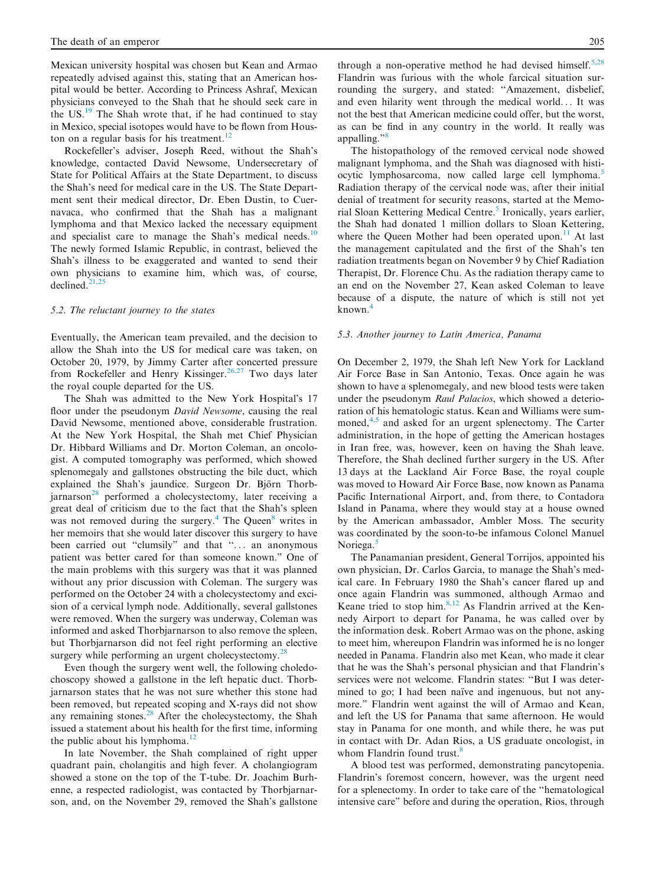Mexican university hospital was chosen but Kean and Armao repeatedly advised against this, stating that an American hospital would be better. According to Princess Ashraf, Mexican physicians conveyed to the Shah that he should seek care in the US. $^{19}$  $^{19}$  $^{19}$  The Shah wrote that, if he had continued to stay in Mexico, special isotopes would have to be flown from Hous-ton on a regular basis for his treatment.<sup>[12](#page-7-0)</sup>

Rockefeller's adviser, Joseph Reed, without the Shah's knowledge, contacted David Newsome, Undersecretary of State for Political Affairs at the State Department, to discuss the Shah's need for medical care in the US. The State Department sent their medical director, Dr. Eben Dustin, to Cuernavaca, who confirmed that the Shah has a malignant lymphoma and that Mexico lacked the necessary equipment and specialist care to manage the Shah's medical needs. $10$ The newly formed Islamic Republic, in contrast, believed the Shah's illness to be exaggerated and wanted to send their own physicians to examine him, which was, of course, declined.<sup>[21,25](#page-7-0)</sup>

#### *5.2. The reluctant journey to the states*

Eventually, the American team prevailed, and the decision to allow the Shah into the US for medical care was taken, on October 20, 1979, by Jimmy Carter after concerted pressure from Rockefeller and Henry Kissinger.<sup>[26,27](#page-7-0)</sup> Two days later the royal couple departed for the US.

The Shah was admitted to the New York Hospital's 17 floor under the pseudonym *David Newsome*, causing the real David Newsome, mentioned above, considerable frustration. At the New York Hospital, the Shah met Chief Physician Dr. Hibbard Williams and Dr. Morton Coleman, an oncologist. A computed tomography was performed, which showed splenomegaly and gallstones obstructing the bile duct, which explained the Shah's jaundice. Surgeon Dr. Björn Thorb-jarnarson<sup>[28](#page-7-0)</sup> performed a cholecystectomy, later receiving a great deal of criticism due to the fact that the Shah's spleen was not removed during the surgery.<sup>[4](#page-6-0)</sup> The Queen<sup>[8](#page-6-0)</sup> writes in her memoirs that she would later discover this surgery to have been carried out "clumsily" and that "... an anonymous patient was better cared for than someone known." One of the main problems with this surgery was that it was planned without any prior discussion with Coleman. The surgery was performed on the October 24 with a cholecystectomy and excision of a cervical lymph node. Additionally, several gallstones were removed. When the surgery was underway, Coleman was informed and asked Thorbjarnarson to also remove the spleen, but Thorbjarnarson did not feel right performing an elective surgery while performing an urgent cholecystectomy.<sup>2</sup>

Even though the surgery went well, the following choledochoscopy showed a gallstone in the left hepatic duct. Thorbjarnarson states that he was not sure whether this stone had been removed, but repeated scoping and X-rays did not show any remaining stones. $28$  After the cholecystectomy, the Shah issued a statement about his health for the first time, informing the public about his lymphoma.<sup>[12](#page-7-0)</sup>

In late November, the Shah complained of right upper quadrant pain, cholangitis and high fever. A cholangiogram showed a stone on the top of the T-tube. Dr. Joachim Burhenne, a respected radiologist, was contacted by Thorbjarnarson, and, on the November 29, removed the Shah's gallstone through a non-operative method he had devised himself.<sup>[5,28](#page-6-0)</sup> Flandrin was furious with the whole farcical situation surrounding the surgery, and stated: ''Amazement, disbelief, and even hilarity went through the medical world... It was not the best that American medicine could offer, but the worst, as can be find in any country in the world. It really was appalling." [8](#page-6-0)

The histopathology of the removed cervical node showed malignant lymphoma, and the Shah was diagnosed with histiocytic lymphosarcoma, now called large cell lymphoma.[5](#page-6-0) Radiation therapy of the cervical node was, after their initial denial of treatment for security reasons, started at the Memo-rial Sloan Kettering Medical Centre.<sup>[5](#page-6-0)</sup> Ironically, years earlier, the Shah had donated 1 million dollars to Sloan Kettering, where the Queen Mother had been operated upon.<sup>[11](#page-7-0)</sup> At last the management capitulated and the first of the Shah's ten radiation treatments began on November 9 by Chief Radiation Therapist, Dr. Florence Chu. As the radiation therapy came to an end on the November 27, Kean asked Coleman to leave because of a dispute, the nature of which is still not yet known.[4](#page-6-0)

#### *5.3. Another journey to Latin America, Panama*

On December 2, 1979, the Shah left New York for Lackland Air Force Base in San Antonio, Texas. Once again he was shown to have a splenomegaly, and new blood tests were taken under the pseudonym *Raul Palacios*, which showed a deterioration of his hematologic status. Kean and Williams were sum-moned,<sup>[4,5](#page-6-0)</sup> and asked for an urgent splenectomy. The Carter administration, in the hope of getting the American hostages in Iran free, was, however, keen on having the Shah leave. Therefore, the Shah declined further surgery in the US. After 13 days at the Lackland Air Force Base, the royal couple was moved to Howard Air Force Base, now known as Panama Pacific International Airport, and, from there, to Contadora Island in Panama, where they would stay at a house owned by the American ambassador, Ambler Moss. The security was coordinated by the soon-to-be infamous Colonel Manuel Noriega.<sup>[5](#page-6-0)</sup>

The Panamanian president, General Torrijos, appointed his own physician, Dr. Carlos Garcia, to manage the Shah's medical care. In February 1980 the Shah's cancer flared up and once again Flandrin was summoned, although Armao and Keane tried to stop him. $8,12$  As Flandrin arrived at the Kennedy Airport to depart for Panama, he was called over by the information desk. Robert Armao was on the phone, asking to meet him, whereupon Flandrin was informed he is no longer needed in Panama. Flandrin also met Kean, who made it clear that he was the Shah's personal physician and that Flandrin's services were not welcome. Flandrin states: ''But I was determined to go; I had been naïve and ingenuous, but not anymore." Flandrin went against the will of Armao and Kean, and left the US for Panama that same afternoon. He would stay in Panama for one month, and while there, he was put in contact with Dr. Adan Rios, a US graduate oncologist, in whom Flandrin found trust.<sup>[8](#page-6-0)</sup>

A blood test was performed, demonstrating pancytopenia. Flandrin's foremost concern, however, was the urgent need for a splenectomy. In order to take care of the ''hematological intensive care" before and during the operation, Rios, through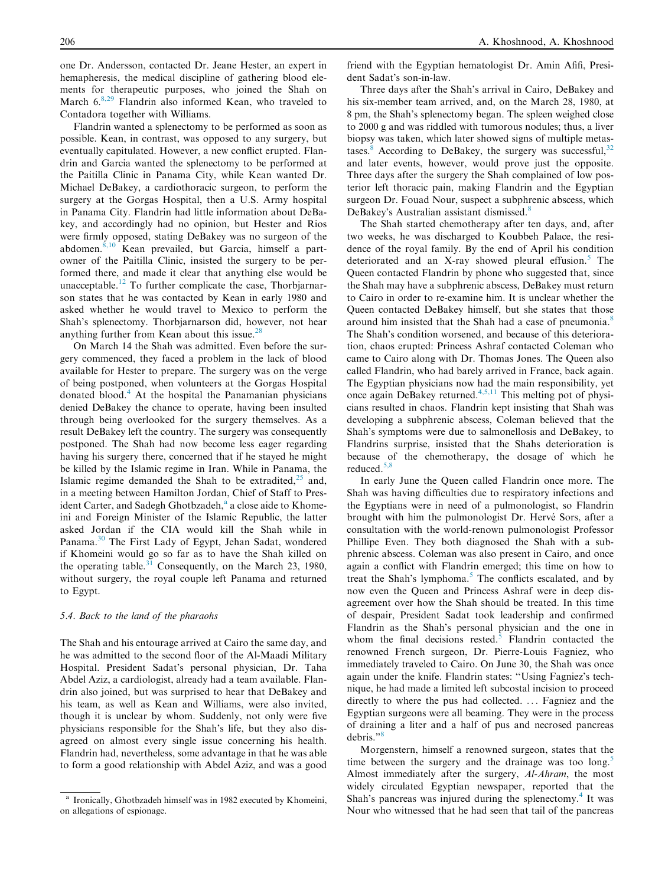one Dr. Andersson, contacted Dr. Jeane Hester, an expert in hemapheresis, the medical discipline of gathering blood elements for therapeutic purposes, who joined the Shah on March  $6^{8,29}$  $6^{8,29}$  $6^{8,29}$  Flandrin also informed Kean, who traveled to Contadora together with Williams.

Flandrin wanted a splenectomy to be performed as soon as possible. Kean, in contrast, was opposed to any surgery, but eventually capitulated. However, a new conflict erupted. Flandrin and Garcia wanted the splenectomy to be performed at the Paitilla Clinic in Panama City, while Kean wanted Dr. Michael DeBakey, a cardiothoracic surgeon, to perform the surgery at the Gorgas Hospital, then a U.S. Army hospital in Panama City. Flandrin had little information about DeBakey, and accordingly had no opinion, but Hester and Rios were firmly opposed, stating DeBakey was no surgeon of the abdomen.<sup>[8,10](#page-6-0)</sup> Kean prevailed, but Garcia, himself a partowner of the Paitilla Clinic, insisted the surgery to be performed there, and made it clear that anything else would be unacceptable.[12](#page-7-0) To further complicate the case, Thorbjarnarson states that he was contacted by Kean in early 1980 and asked whether he would travel to Mexico to perform the Shah's splenectomy. Thorbjarnarson did, however, not hear anything further from Kean about this issue. $^{28}$  $^{28}$  $^{28}$ 

On March 14 the Shah was admitted. Even before the surgery commenced, they faced a problem in the lack of blood available for Hester to prepare. The surgery was on the verge of being postponed, when volunteers at the Gorgas Hospital donated blood.<sup>[4](#page-6-0)</sup> At the hospital the Panamanian physicians denied DeBakey the chance to operate, having been insulted through being overlooked for the surgery themselves. As a result DeBakey left the country. The surgery was consequently postponed. The Shah had now become less eager regarding having his surgery there, concerned that if he stayed he might be killed by the Islamic regime in Iran. While in Panama, the Islamic regime demanded the Shah to be extradited, $25$  and, in a meeting between Hamilton Jordan, Chief of Staff to President Carter, and Sadegh Ghotbzadeh,<sup>a</sup> a close aide to Khomeini and Foreign Minister of the Islamic Republic, the latter asked Jordan if the CIA would kill the Shah while in Panama.<sup>[30](#page-7-0)</sup> The First Lady of Egypt, Jehan Sadat, wondered if Khomeini would go so far as to have the Shah killed on the operating table.<sup>[31](#page-7-0)</sup> Consequently, on the March 23, 1980, without surgery, the royal couple left Panama and returned to Egypt.

### *5.4. Back to the land of the pharaohs*

The Shah and his entourage arrived at Cairo the same day, and he was admitted to the second floor of the Al-Maadi Military Hospital. President Sadat's personal physician, Dr. Taha Abdel Aziz, a cardiologist, already had a team available. Flandrin also joined, but was surprised to hear that DeBakey and his team, as well as Kean and Williams, were also invited, though it is unclear by whom. Suddenly, not only were five physicians responsible for the Shah's life, but they also disagreed on almost every single issue concerning his health. Flandrin had, nevertheless, some advantage in that he was able to form a good relationship with Abdel Aziz, and was a good friend with the Egyptian hematologist Dr. Amin Afifi, President Sadat's son-in-law.

Three days after the Shah's arrival in Cairo, DeBakey and his six-member team arrived, and, on the March 28, 1980, at 8 pm, the Shah's splenectomy began. The spleen weighed close to 2000 g and was riddled with tumorous nodules; thus, a liver biopsy was taken, which later showed signs of multiple metastases. $8$  According to DeBakey, the surgery was successful,  $32$ and later events, however, would prove just the opposite. Three days after the surgery the Shah complained of low posterior left thoracic pain, making Flandrin and the Egyptian surgeon Dr. Fouad Nour, suspect a subphrenic abscess, which DeBakey's Australian assistant dismissed.<sup>[8](#page-6-0)</sup>

The Shah started chemotherapy after ten days, and, after two weeks, he was discharged to Koubbeh Palace, the residence of the royal family. By the end of April his condition deteriorated and an X-ray showed pleural effusion. $5$  The Queen contacted Flandrin by phone who suggested that, since the Shah may have a subphrenic abscess, DeBakey must return to Cairo in order to re-examine him. It is unclear whether the Queen contacted DeBakey himself, but she states that those around him insisted that the Shah had a case of pneumonia.<sup>[8](#page-6-0)</sup> The Shah's condition worsened, and because of this deterioration, chaos erupted: Princess Ashraf contacted Coleman who came to Cairo along with Dr. Thomas Jones. The Queen also called Flandrin, who had barely arrived in France, back again. The Egyptian physicians now had the main responsibility, yet once again DeBakey returned.<sup>[4,5,11](#page-6-0)</sup> This melting pot of physicians resulted in chaos. Flandrin kept insisting that Shah was developing a subphrenic abscess, Coleman believed that the Shah's symptoms were due to salmonellosis and DeBakey, to Flandrins surprise, insisted that the Shahs deterioration is because of the chemotherapy, the dosage of which he reduced.<sup>[5,8](#page-6-0)</sup>

In early June the Queen called Flandrin once more. The Shah was having difficulties due to respiratory infections and the Egyptians were in need of a pulmonologist, so Flandrin brought with him the pulmonologist Dr. Hervé Sors, after a consultation with the world-renown pulmonologist Professor Phillipe Even. They both diagnosed the Shah with a subphrenic abscess. Coleman was also present in Cairo, and once again a conflict with Flandrin emerged; this time on how to treat the Shah's lymphoma.<sup>[5](#page-6-0)</sup> The conflicts escalated, and by now even the Queen and Princess Ashraf were in deep disagreement over how the Shah should be treated. In this time of despair, President Sadat took leadership and confirmed Flandrin as the Shah's personal physician and the one in whom the final decisions rested. $5$  Flandrin contacted the renowned French surgeon, Dr. Pierre-Louis Fagniez, who immediately traveled to Cairo. On June 30, the Shah was once again under the knife. Flandrin states: ''Using Fagniez's technique, he had made a limited left subcostal incision to proceed directly to where the pus had collected. ... Fagniez and the Egyptian surgeons were all beaming. They were in the process of draining a liter and a half of pus and necrosed pancreas debris." [8](#page-6-0)

Morgenstern, himself a renowned surgeon, states that the time between the surgery and the drainage was too long.<sup>[5](#page-6-0)</sup> Almost immediately after the surgery, *Al-Ahram*, the most widely circulated Egyptian newspaper, reported that the Shah's pancreas was injured during the splenectomy.<sup>[4](#page-6-0)</sup> It was Nour who witnessed that he had seen that tail of the pancreas

<sup>&</sup>lt;sup>a</sup> Ironically, Ghotbzadeh himself was in 1982 executed by Khomeini, on allegations of espionage.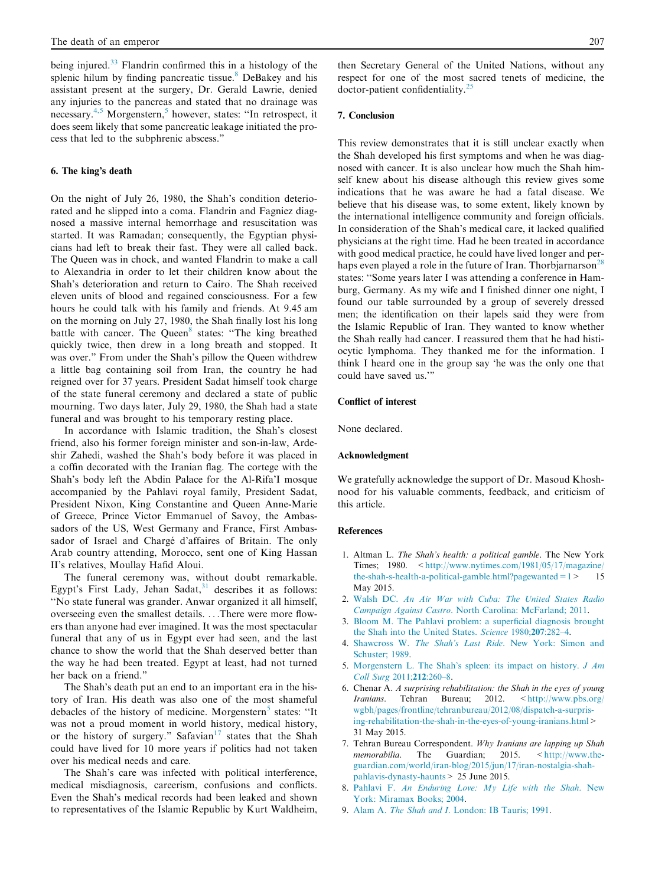<span id="page-6-0"></span>being injured.<sup>[33](#page-7-0)</sup> Flandrin confirmed this in a histology of the splenic hilum by finding pancreatic tissue. $8$  DeBakey and his assistant present at the surgery, Dr. Gerald Lawrie, denied any injuries to the pancreas and stated that no drainage was necessary.<sup>4,5</sup> Morgenstern,<sup>5</sup> however, states: "In retrospect, it does seem likely that some pancreatic leakage initiated the process that led to the subphrenic abscess."

# 6. The king's death

On the night of July 26, 1980, the Shah's condition deteriorated and he slipped into a coma. Flandrin and Fagniez diagnosed a massive internal hemorrhage and resuscitation was started. It was Ramadan; consequently, the Egyptian physicians had left to break their fast. They were all called back. The Queen was in chock, and wanted Flandrin to make a call to Alexandria in order to let their children know about the Shah's deterioration and return to Cairo. The Shah received eleven units of blood and regained consciousness. For a few hours he could talk with his family and friends. At 9.45 am on the morning on July 27, 1980, the Shah finally lost his long battle with cancer. The Queen<sup>8</sup> states: "The king breathed quickly twice, then drew in a long breath and stopped. It was over." From under the Shah's pillow the Queen withdrew a little bag containing soil from Iran, the country he had reigned over for 37 years. President Sadat himself took charge of the state funeral ceremony and declared a state of public mourning. Two days later, July 29, 1980, the Shah had a state funeral and was brought to his temporary resting place.

In accordance with Islamic tradition, the Shah's closest friend, also his former foreign minister and son-in-law, Ardeshir Zahedi, washed the Shah's body before it was placed in a coffin decorated with the Iranian flag. The cortege with the Shah's body left the Abdin Palace for the Al-Rifa'I mosque accompanied by the Pahlavi royal family, President Sadat, President Nixon, King Constantine and Queen Anne-Marie of Greece, Prince Victor Emmanuel of Savoy, the Ambassadors of the US, West Germany and France, First Ambassador of Israel and Chargé d'affaires of Britain. The only Arab country attending, Morocco, sent one of King Hassan II's relatives, Moullay Hafid Aloui.

The funeral ceremony was, without doubt remarkable. Egypt's First Lady, Jehan Sadat, $31$  describes it as follows: ''No state funeral was grander. Anwar organized it all himself, overseeing even the smallest details. ...There were more flowers than anyone had ever imagined. It was the most spectacular funeral that any of us in Egypt ever had seen, and the last chance to show the world that the Shah deserved better than the way he had been treated. Egypt at least, had not turned her back on a friend."

The Shah's death put an end to an important era in the history of Iran. His death was also one of the most shameful debacles of the history of medicine. Morgenstern<sup>5</sup> states: "It was not a proud moment in world history, medical history, or the history of surgery." Safavian<sup>[17](#page-7-0)</sup> states that the Shah could have lived for 10 more years if politics had not taken over his medical needs and care.

The Shah's care was infected with political interference, medical misdiagnosis, careerism, confusions and conflicts. Even the Shah's medical records had been leaked and shown to representatives of the Islamic Republic by Kurt Waldheim, then Secretary General of the United Nations, without any respect for one of the most sacred tenets of medicine, the doctor-patient confidentiality.[25](#page-7-0)

#### 7. Conclusion

This review demonstrates that it is still unclear exactly when the Shah developed his first symptoms and when he was diagnosed with cancer. It is also unclear how much the Shah himself knew about his disease although this review gives some indications that he was aware he had a fatal disease. We believe that his disease was, to some extent, likely known by the international intelligence community and foreign officials. In consideration of the Shah's medical care, it lacked qualified physicians at the right time. Had he been treated in accordance with good medical practice, he could have lived longer and per-haps even played a role in the future of Iran. Thorbiarnarson<sup>[28](#page-7-0)</sup> states: ''Some years later I was attending a conference in Hamburg, Germany. As my wife and I finished dinner one night, I found our table surrounded by a group of severely dressed men; the identification on their lapels said they were from the Islamic Republic of Iran. They wanted to know whether the Shah really had cancer. I reassured them that he had histiocytic lymphoma. They thanked me for the information. I think I heard one in the group say 'he was the only one that could have saved us.'"

# Conflict of interest

None declared.

#### Acknowledgment

We gratefully acknowledge the support of Dr. Masoud Khoshnood for his valuable comments, feedback, and criticism of this article.

#### References

- 1. Altman L. *The Shah's health: a political gamble*. The New York Times; 1980. <[http://www.nytimes.com/1981/05/17/magazine/](http://www.nytimes.com/1981/05/17/magazine/the-shah-s-health-a-political-gamble.html?pagewanted=1) [the-shah-s-health-a-political-gamble.html?pagewanted=1](http://www.nytimes.com/1981/05/17/magazine/the-shah-s-health-a-political-gamble.html?pagewanted=1)> 15 May 2015.
- 2. Walsh DC. *[An Air War with Cuba: The United States Radio](http://refhub.elsevier.com/S2090-5068(15)00082-2/h0010) Campaign Against Castro*[. North Carolina: McFarland; 2011](http://refhub.elsevier.com/S2090-5068(15)00082-2/h0010).
- 3. [Bloom M. The Pahlavi problem: a superficial diagnosis brought](http://refhub.elsevier.com/S2090-5068(15)00082-2/h0015) [the Shah into the United States.](http://refhub.elsevier.com/S2090-5068(15)00082-2/h0015) *Science* 1980;207:282–4.
- 4. Shawcross W. *The Shah's Last Ride*[. New York: Simon and](http://refhub.elsevier.com/S2090-5068(15)00082-2/h0020) [Schuster; 1989](http://refhub.elsevier.com/S2090-5068(15)00082-2/h0020).
- 5. [Morgenstern L. The Shah's spleen: its impact on history.](http://refhub.elsevier.com/S2090-5068(15)00082-2/h0025) *J Am [Coll Surg](http://refhub.elsevier.com/S2090-5068(15)00082-2/h0025)* 2011;212:260–8.
- 6. Chenar A. *A surprising rehabilitation: the Shah in the eyes of young Iranians*. Tehran Bureau; 2012. <[http://www.pbs.org/](http://www.pbs.org/wgbh/pages/frontline/tehranbureau/2012/08/dispatch-a-surprising-rehabilitation-the-shah-in-the-eyes-of-young-iranians.html) [wgbh/pages/frontline/tehranbureau/2012/08/dispatch-a-surpris](http://www.pbs.org/wgbh/pages/frontline/tehranbureau/2012/08/dispatch-a-surprising-rehabilitation-the-shah-in-the-eyes-of-young-iranians.html)[ing-rehabilitation-the-shah-in-the-eyes-of-young-iranians.html>](http://www.pbs.org/wgbh/pages/frontline/tehranbureau/2012/08/dispatch-a-surprising-rehabilitation-the-shah-in-the-eyes-of-young-iranians.html) 31 May 2015.
- 7. Tehran Bureau Correspondent. *Why Iranians are lapping up Shah memorabilia*. The Guardian; 2015. <[http://www.the](http://www.theguardian.com/world/iran-blog/2015/jun/17/iran-nostalgia-shah-pahlavis-dynasty-haunts)[guardian.com/world/iran-blog/2015/jun/17/iran-nostalgia-shah](http://www.theguardian.com/world/iran-blog/2015/jun/17/iran-nostalgia-shah-pahlavis-dynasty-haunts)[pahlavis-dynasty-haunts](http://www.theguardian.com/world/iran-blog/2015/jun/17/iran-nostalgia-shah-pahlavis-dynasty-haunts)> 25 June 2015.
- 8. Pahlavi F. *[An Enduring Love: My Life with the Shah](http://refhub.elsevier.com/S2090-5068(15)00082-2/h0040)*. New [York: Miramax Books; 2004.](http://refhub.elsevier.com/S2090-5068(15)00082-2/h0040)
- 9. Alam A. *The Shah and I*[. London: IB Tauris; 1991](http://refhub.elsevier.com/S2090-5068(15)00082-2/h0045).